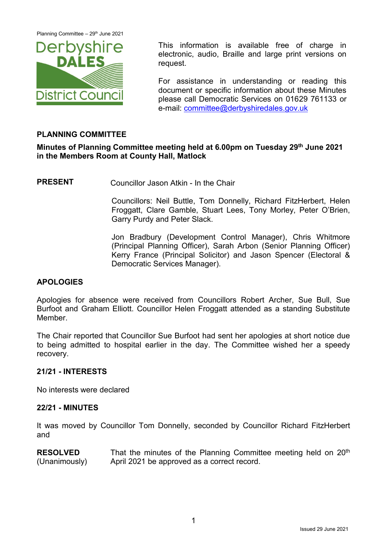Planning Committee – 29<sup>th</sup> June 2021



This information is available free of charge in electronic, audio, Braille and large print versions on request.

For assistance in understanding or reading this document or specific information about these Minutes please call Democratic Services on 01629 761133 or e-mail: [committee@derbyshiredales.gov.uk](mailto:committee@derbyshiredales.gov.uk)

# **PLANNING COMMITTEE**

# **Minutes of Planning Committee meeting held at 6.00pm on Tuesday 29th June 2021 in the Members Room at County Hall, Matlock**

**PRESENT** Councillor Jason Atkin - In the Chair

Councillors: Neil Buttle, Tom Donnelly, Richard FitzHerbert, Helen Froggatt, Clare Gamble, Stuart Lees, Tony Morley, Peter O'Brien, Garry Purdy and Peter Slack.

Jon Bradbury (Development Control Manager), Chris Whitmore (Principal Planning Officer), Sarah Arbon (Senior Planning Officer) Kerry France (Principal Solicitor) and Jason Spencer (Electoral & Democratic Services Manager).

## **APOLOGIES**

Apologies for absence were received from Councillors Robert Archer, Sue Bull, Sue Burfoot and Graham Elliott. Councillor Helen Froggatt attended as a standing Substitute **Member** 

The Chair reported that Councillor Sue Burfoot had sent her apologies at short notice due to being admitted to hospital earlier in the day. The Committee wished her a speedy recovery.

## **21/21 - INTERESTS**

No interests were declared

## **22/21 - MINUTES**

It was moved by Councillor Tom Donnelly, seconded by Councillor Richard FitzHerbert and

**RESOLVED** (Unanimously) That the minutes of the Planning Committee meeting held on 20<sup>th</sup> April 2021 be approved as a correct record.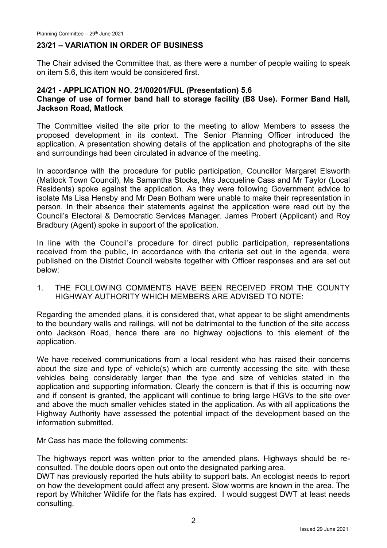### **23/21 – VARIATION IN ORDER OF BUSINESS**

The Chair advised the Committee that, as there were a number of people waiting to speak on item 5.6, this item would be considered first.

### **24/21 - APPLICATION NO. 21/00201/FUL (Presentation) 5.6 Change of use of former band hall to storage facility (B8 Use). Former Band Hall, Jackson Road, Matlock**

The Committee visited the site prior to the meeting to allow Members to assess the proposed development in its context. The Senior Planning Officer introduced the application. A presentation showing details of the application and photographs of the site and surroundings had been circulated in advance of the meeting.

In accordance with the procedure for public participation, Councillor Margaret Elsworth (Matlock Town Council), Ms Samantha Stocks, Mrs Jacqueline Cass and Mr Taylor (Local Residents) spoke against the application. As they were following Government advice to isolate Ms Lisa Hensby and Mr Dean Botham were unable to make their representation in person. In their absence their statements against the application were read out by the Council's Electoral & Democratic Services Manager. James Probert (Applicant) and Roy Bradbury (Agent) spoke in support of the application.

In line with the Council's procedure for direct public participation, representations received from the public, in accordance with the criteria set out in the agenda, were published on the District Council website together with Officer responses and are set out below:

1. THE FOLLOWING COMMENTS HAVE BEEN RECEIVED FROM THE COUNTY HIGHWAY AUTHORITY WHICH MEMBERS ARE ADVISED TO NOTE:

Regarding the amended plans, it is considered that, what appear to be slight amendments to the boundary walls and railings, will not be detrimental to the function of the site access onto Jackson Road, hence there are no highway objections to this element of the application.

We have received communications from a local resident who has raised their concerns about the size and type of vehicle(s) which are currently accessing the site, with these vehicles being considerably larger than the type and size of vehicles stated in the application and supporting information. Clearly the concern is that if this is occurring now and if consent is granted, the applicant will continue to bring large HGVs to the site over and above the much smaller vehicles stated in the application. As with all applications the Highway Authority have assessed the potential impact of the development based on the information submitted.

Mr Cass has made the following comments:

The highways report was written prior to the amended plans. Highways should be reconsulted. The double doors open out onto the designated parking area.

DWT has previously reported the huts ability to support bats. An ecologist needs to report on how the development could affect any present. Slow worms are known in the area. The report by Whitcher Wildlife for the flats has expired. I would suggest DWT at least needs consulting.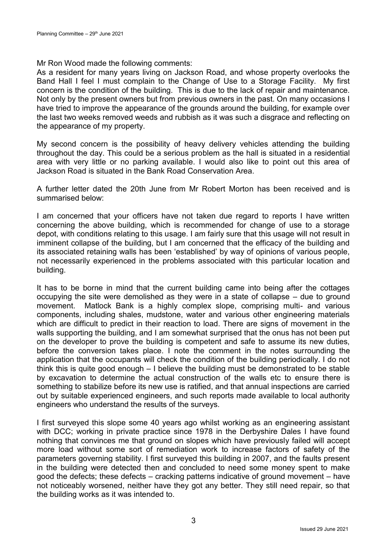### Mr Ron Wood made the following comments:

As a resident for many years living on Jackson Road, and whose property overlooks the Band Hall I feel I must complain to the Change of Use to a Storage Facility. My first concern is the condition of the building. This is due to the lack of repair and maintenance. Not only by the present owners but from previous owners in the past. On many occasions I have tried to improve the appearance of the grounds around the building, for example over the last two weeks removed weeds and rubbish as it was such a disgrace and reflecting on the appearance of my property.

My second concern is the possibility of heavy delivery vehicles attending the building throughout the day. This could be a serious problem as the hall is situated in a residential area with very little or no parking available. I would also like to point out this area of Jackson Road is situated in the Bank Road Conservation Area.

A further letter dated the 20th June from Mr Robert Morton has been received and is summarised below:

I am concerned that your officers have not taken due regard to reports I have written concerning the above building, which is recommended for change of use to a storage depot, with conditions relating to this usage. I am fairly sure that this usage will not result in imminent collapse of the building, but I am concerned that the efficacy of the building and its associated retaining walls has been 'established' by way of opinions of various people, not necessarily experienced in the problems associated with this particular location and building.

It has to be borne in mind that the current building came into being after the cottages occupying the site were demolished as they were in a state of collapse – due to ground movement. Matlock Bank is a highly complex slope, comprising multi- and various components, including shales, mudstone, water and various other engineering materials which are difficult to predict in their reaction to load. There are signs of movement in the walls supporting the building, and I am somewhat surprised that the onus has not been put on the developer to prove the building is competent and safe to assume its new duties, before the conversion takes place. I note the comment in the notes surrounding the application that the occupants will check the condition of the building periodically. I do not think this is quite good enough – I believe the building must be demonstrated to be stable by excavation to determine the actual construction of the walls etc to ensure there is something to stabilize before its new use is ratified, and that annual inspections are carried out by suitable experienced engineers, and such reports made available to local authority engineers who understand the results of the surveys.

I first surveyed this slope some 40 years ago whilst working as an engineering assistant with DCC; working in private practice since 1978 in the Derbyshire Dales I have found nothing that convinces me that ground on slopes which have previously failed will accept more load without some sort of remediation work to increase factors of safety of the parameters governing stability. I first surveyed this building in 2007, and the faults present in the building were detected then and concluded to need some money spent to make good the defects; these defects – cracking patterns indicative of ground movement – have not noticeably worsened, neither have they got any better. They still need repair, so that the building works as it was intended to.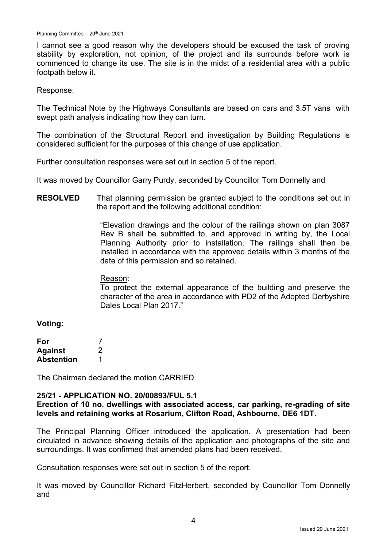I cannot see a good reason why the developers should be excused the task of proving stability by exploration, not opinion, of the project and its surrounds before work is commenced to change its use. The site is in the midst of a residential area with a public footpath below it.

#### Response:

The Technical Note by the Highways Consultants are based on cars and 3.5T vans with swept path analysis indicating how they can turn.

The combination of the Structural Report and investigation by Building Regulations is considered sufficient for the purposes of this change of use application.

Further consultation responses were set out in section 5 of the report.

It was moved by Councillor Garry Purdy, seconded by Councillor Tom Donnelly and

**RESOLVED** That planning permission be granted subject to the conditions set out in the report and the following additional condition:

> "Elevation drawings and the colour of the railings shown on plan 3087 Rev B shall be submitted to, and approved in writing by, the Local Planning Authority prior to installation. The railings shall then be installed in accordance with the approved details within 3 months of the date of this permission and so retained.

#### Reason:

To protect the external appearance of the building and preserve the character of the area in accordance with PD2 of the Adopted Derbyshire Dales Local Plan 2017."

**Voting:**

| For               |   |
|-------------------|---|
| <b>Against</b>    | 2 |
| <b>Abstention</b> |   |

The Chairman declared the motion CARRIED.

### **25/21 - APPLICATION NO. 20/00893/FUL 5.1**

### **Erection of 10 no. dwellings with associated access, car parking, re-grading of site levels and retaining works at Rosarium, Clifton Road, Ashbourne, DE6 1DT.**

The Principal Planning Officer introduced the application. A presentation had been circulated in advance showing details of the application and photographs of the site and surroundings. It was confirmed that amended plans had been received.

Consultation responses were set out in section 5 of the report.

It was moved by Councillor Richard FitzHerbert, seconded by Councillor Tom Donnelly and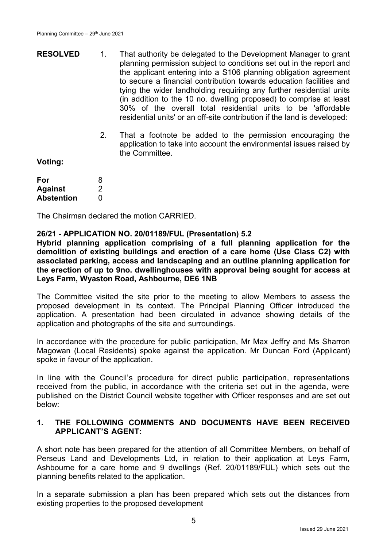- **RESOLVED** 1. That authority be delegated to the Development Manager to grant planning permission subject to conditions set out in the report and the applicant entering into a S106 planning obligation agreement to secure a financial contribution towards education facilities and tying the wider landholding requiring any further residential units (in addition to the 10 no. dwelling proposed) to comprise at least 30% of the overall total residential units to be 'affordable residential units' or an off-site contribution if the land is developed:
	- 2. That a footnote be added to the permission encouraging the application to take into account the environmental issues raised by the Committee.

**Voting:**

| For               | 8 |
|-------------------|---|
| <b>Against</b>    | 2 |
| <b>Abstention</b> | O |

The Chairman declared the motion CARRIED.

### **26/21 - APPLICATION NO. 20/01189/FUL (Presentation) 5.2**

**Hybrid planning application comprising of a full planning application for the demolition of existing buildings and erection of a care home (Use Class C2) with associated parking, access and landscaping and an outline planning application for the erection of up to 9no. dwellinghouses with approval being sought for access at Leys Farm, Wyaston Road, Ashbourne, DE6 1NB**

The Committee visited the site prior to the meeting to allow Members to assess the proposed development in its context. The Principal Planning Officer introduced the application. A presentation had been circulated in advance showing details of the application and photographs of the site and surroundings.

In accordance with the procedure for public participation, Mr Max Jeffry and Ms Sharron Magowan (Local Residents) spoke against the application. Mr Duncan Ford (Applicant) spoke in favour of the application.

In line with the Council's procedure for direct public participation, representations received from the public, in accordance with the criteria set out in the agenda, were published on the District Council website together with Officer responses and are set out below:

## **1. THE FOLLOWING COMMENTS AND DOCUMENTS HAVE BEEN RECEIVED APPLICANT'S AGENT:**

A short note has been prepared for the attention of all Committee Members, on behalf of Perseus Land and Developments Ltd, in relation to their application at Leys Farm, Ashbourne for a care home and 9 dwellings (Ref. 20/01189/FUL) which sets out the planning benefits related to the application.

In a separate submission a plan has been prepared which sets out the distances from existing properties to the proposed development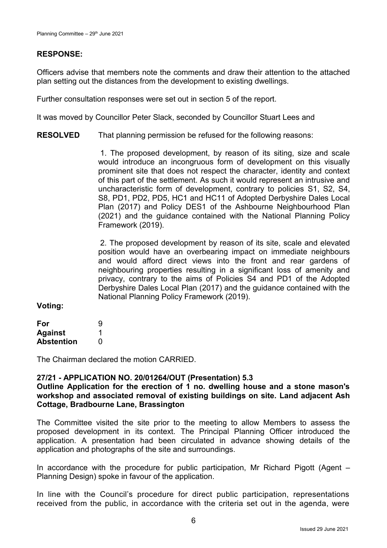### **RESPONSE:**

Officers advise that members note the comments and draw their attention to the attached plan setting out the distances from the development to existing dwellings.

Further consultation responses were set out in section 5 of the report.

It was moved by Councillor Peter Slack, seconded by Councillor Stuart Lees and

**RESOLVED** That planning permission be refused for the following reasons:

> 1. The proposed development, by reason of its siting, size and scale would introduce an incongruous form of development on this visually prominent site that does not respect the character, identity and context of this part of the settlement. As such it would represent an intrusive and uncharacteristic form of development, contrary to policies S1, S2, S4, S8, PD1, PD2, PD5, HC1 and HC11 of Adopted Derbyshire Dales Local Plan (2017) and Policy DES1 of the Ashbourne Neighbourhood Plan (2021) and the guidance contained with the National Planning Policy Framework (2019).

> 2. The proposed development by reason of its site, scale and elevated position would have an overbearing impact on immediate neighbours and would afford direct views into the front and rear gardens of neighbouring properties resulting in a significant loss of amenity and privacy, contrary to the aims of Policies S4 and PD1 of the Adopted Derbyshire Dales Local Plan (2017) and the guidance contained with the National Planning Policy Framework (2019).

### **Voting:**

| For               | 9 |
|-------------------|---|
| <b>Against</b>    |   |
| <b>Abstention</b> | O |

The Chairman declared the motion CARRIED.

### **27/21 - APPLICATION NO. 20/01264/OUT (Presentation) 5.3**

### **Outline Application for the erection of 1 no. dwelling house and a stone mason's workshop and associated removal of existing buildings on site. Land adjacent Ash Cottage, Bradbourne Lane, Brassington**

The Committee visited the site prior to the meeting to allow Members to assess the proposed development in its context. The Principal Planning Officer introduced the application. A presentation had been circulated in advance showing details of the application and photographs of the site and surroundings.

In accordance with the procedure for public participation, Mr Richard Pigott (Agent – Planning Design) spoke in favour of the application.

In line with the Council's procedure for direct public participation, representations received from the public, in accordance with the criteria set out in the agenda, were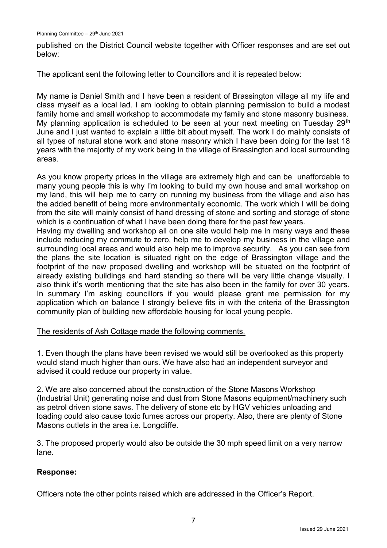published on the District Council website together with Officer responses and are set out below:

### The applicant sent the following letter to Councillors and it is repeated below:

My name is Daniel Smith and I have been a resident of Brassington village all my life and class myself as a local lad. I am looking to obtain planning permission to build a modest family home and small workshop to accommodate my family and stone masonry business. My planning application is scheduled to be seen at your next meeting on Tuesday  $29<sup>th</sup>$ June and I just wanted to explain a little bit about myself. The work I do mainly consists of all types of natural stone work and stone masonry which I have been doing for the last 18 years with the majority of my work being in the village of Brassington and local surrounding areas.

As you know property prices in the village are extremely high and can be unaffordable to many young people this is why I'm looking to build my own house and small workshop on my land, this will help me to carry on running my business from the village and also has the added benefit of being more environmentally economic. The work which I will be doing from the site will mainly consist of hand dressing of stone and sorting and storage of stone which is a continuation of what I have been doing there for the past few years.

Having my dwelling and workshop all on one site would help me in many ways and these include reducing my commute to zero, help me to develop my business in the village and surrounding local areas and would also help me to improve security. As you can see from the plans the site location is situated right on the edge of Brassington village and the footprint of the new proposed dwelling and workshop will be situated on the footprint of already existing buildings and hard standing so there will be very little change visually. I also think it's worth mentioning that the site has also been in the family for over 30 years. In summary I'm asking councillors if you would please grant me permission for my application which on balance I strongly believe fits in with the criteria of the Brassington community plan of building new affordable housing for local young people.

### The residents of Ash Cottage made the following comments.

1. Even though the plans have been revised we would still be overlooked as this property would stand much higher than ours. We have also had an independent surveyor and advised it could reduce our property in value.

2. We are also concerned about the construction of the Stone Masons Workshop (Industrial Unit) generating noise and dust from Stone Masons equipment/machinery such as petrol driven stone saws. The delivery of stone etc by HGV vehicles unloading and loading could also cause toxic fumes across our property. Also, there are plenty of Stone Masons outlets in the area i.e. Longcliffe.

3. The proposed property would also be outside the 30 mph speed limit on a very narrow lane.

## **Response:**

Officers note the other points raised which are addressed in the Officer's Report.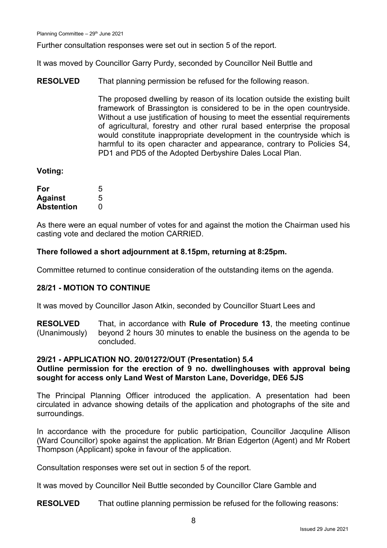Further consultation responses were set out in section 5 of the report.

It was moved by Councillor Garry Purdy, seconded by Councillor Neil Buttle and

**RESOLVED** That planning permission be refused for the following reason.

> The proposed dwelling by reason of its location outside the existing built framework of Brassington is considered to be in the open countryside. Without a use justification of housing to meet the essential requirements of agricultural, forestry and other rural based enterprise the proposal would constitute inappropriate development in the countryside which is harmful to its open character and appearance, contrary to Policies S4, PD1 and PD5 of the Adopted Derbyshire Dales Local Plan.

### **Voting:**

| For               | 5 |
|-------------------|---|
| <b>Against</b>    | 5 |
| <b>Abstention</b> | 0 |

As there were an equal number of votes for and against the motion the Chairman used his casting vote and declared the motion CARRIED.

### **There followed a short adjournment at 8.15pm, returning at 8:25pm.**

Committee returned to continue consideration of the outstanding items on the agenda.

## **28/21 - MOTION TO CONTINUE**

It was moved by Councillor Jason Atkin, seconded by Councillor Stuart Lees and

**RESOLVED** (Unanimously) That, in accordance with **Rule of Procedure 13**, the meeting continue beyond 2 hours 30 minutes to enable the business on the agenda to be concluded.

### **29/21 - APPLICATION NO. 20/01272/OUT (Presentation) 5.4**

## **Outline permission for the erection of 9 no. dwellinghouses with approval being sought for access only Land West of Marston Lane, Doveridge, DE6 5JS**

The Principal Planning Officer introduced the application. A presentation had been circulated in advance showing details of the application and photographs of the site and surroundings.

In accordance with the procedure for public participation, Councillor Jacquline Allison (Ward Councillor) spoke against the application. Mr Brian Edgerton (Agent) and Mr Robert Thompson (Applicant) spoke in favour of the application.

Consultation responses were set out in section 5 of the report.

It was moved by Councillor Neil Buttle seconded by Councillor Clare Gamble and

**RESOLVED** That outline planning permission be refused for the following reasons: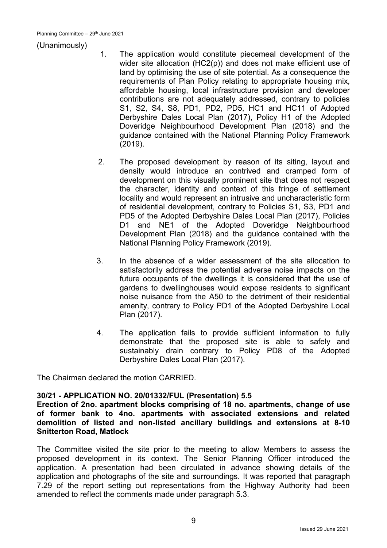### (Unanimously)

- 1. The application would constitute piecemeal development of the wider site allocation (HC2(p)) and does not make efficient use of land by optimising the use of site potential. As a consequence the requirements of Plan Policy relating to appropriate housing mix, affordable housing, local infrastructure provision and developer contributions are not adequately addressed, contrary to policies S1, S2, S4, S8, PD1, PD2, PD5, HC1 and HC11 of Adopted Derbyshire Dales Local Plan (2017), Policy H1 of the Adopted Doveridge Neighbourhood Development Plan (2018) and the guidance contained with the National Planning Policy Framework (2019).
- 2. The proposed development by reason of its siting, layout and density would introduce an contrived and cramped form of development on this visually prominent site that does not respect the character, identity and context of this fringe of settlement locality and would represent an intrusive and uncharacteristic form of residential development, contrary to Policies S1, S3, PD1 and PD5 of the Adopted Derbyshire Dales Local Plan (2017), Policies D1 and NE1 of the Adopted Doveridge Neighbourhood Development Plan (2018) and the guidance contained with the National Planning Policy Framework (2019).
- 3. In the absence of a wider assessment of the site allocation to satisfactorily address the potential adverse noise impacts on the future occupants of the dwellings it is considered that the use of gardens to dwellinghouses would expose residents to significant noise nuisance from the A50 to the detriment of their residential amenity, contrary to Policy PD1 of the Adopted Derbyshire Local Plan (2017).
- 4. The application fails to provide sufficient information to fully demonstrate that the proposed site is able to safely and sustainably drain contrary to Policy PD8 of the Adopted Derbyshire Dales Local Plan (2017).

The Chairman declared the motion CARRIED.

## **30/21 - APPLICATION NO. 20/01332/FUL (Presentation) 5.5**

**Erection of 2no. apartment blocks comprising of 18 no. apartments, change of use of former bank to 4no. apartments with associated extensions and related demolition of listed and non-listed ancillary buildings and extensions at 8-10 Snitterton Road, Matlock**

The Committee visited the site prior to the meeting to allow Members to assess the proposed development in its context. The Senior Planning Officer introduced the application. A presentation had been circulated in advance showing details of the application and photographs of the site and surroundings. It was reported that paragraph 7.29 of the report setting out representations from the Highway Authority had been amended to reflect the comments made under paragraph 5.3.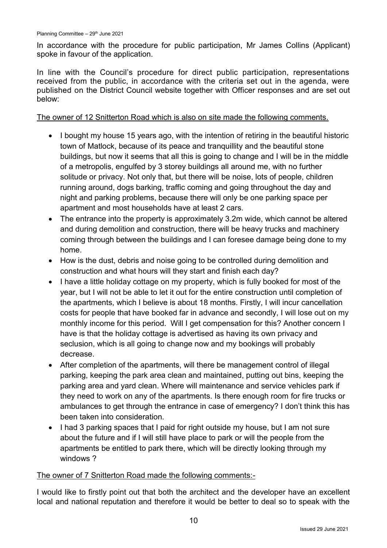In accordance with the procedure for public participation, Mr James Collins (Applicant) spoke in favour of the application.

In line with the Council's procedure for direct public participation, representations received from the public, in accordance with the criteria set out in the agenda, were published on the District Council website together with Officer responses and are set out below:

The owner of 12 Snitterton Road which is also on site made the following comments.

- I bought my house 15 years ago, with the intention of retiring in the beautiful historic town of Matlock, because of its peace and tranquillity and the beautiful stone buildings, but now it seems that all this is going to change and I will be in the middle of a metropolis, engulfed by 3 storey buildings all around me, with no further solitude or privacy. Not only that, but there will be noise, lots of people, children running around, dogs barking, traffic coming and going throughout the day and night and parking problems, because there will only be one parking space per apartment and most households have at least 2 cars.
- The entrance into the property is approximately 3.2m wide, which cannot be altered and during demolition and construction, there will be heavy trucks and machinery coming through between the buildings and I can foresee damage being done to my home.
- How is the dust, debris and noise going to be controlled during demolition and construction and what hours will they start and finish each day?
- I have a little holiday cottage on my property, which is fully booked for most of the year, but I will not be able to let it out for the entire construction until completion of the apartments, which I believe is about 18 months. Firstly, I will incur cancellation costs for people that have booked far in advance and secondly, I will lose out on my monthly income for this period. Will I get compensation for this? Another concern I have is that the holiday cottage is advertised as having its own privacy and seclusion, which is all going to change now and my bookings will probably decrease.
- After completion of the apartments, will there be management control of illegal parking, keeping the park area clean and maintained, putting out bins, keeping the parking area and yard clean. Where will maintenance and service vehicles park if they need to work on any of the apartments. Is there enough room for fire trucks or ambulances to get through the entrance in case of emergency? I don't think this has been taken into consideration.
- I had 3 parking spaces that I paid for right outside my house, but I am not sure about the future and if I will still have place to park or will the people from the apartments be entitled to park there, which will be directly looking through my windows ?

## The owner of 7 Snitterton Road made the following comments:-

I would like to firstly point out that both the architect and the developer have an excellent local and national reputation and therefore it would be better to deal so to speak with the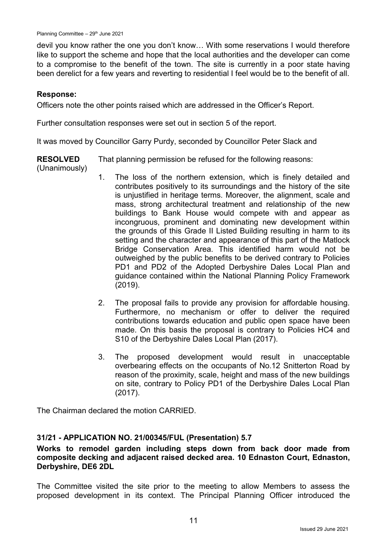devil you know rather the one you don't know… With some reservations I would therefore like to support the scheme and hope that the local authorities and the developer can come to a compromise to the benefit of the town. The site is currently in a poor state having been derelict for a few years and reverting to residential I feel would be to the benefit of all.

### **Response:**

Officers note the other points raised which are addressed in the Officer's Report.

Further consultation responses were set out in section 5 of the report.

It was moved by Councillor Garry Purdy, seconded by Councillor Peter Slack and

**RESOLVED** That planning permission be refused for the following reasons:

- (Unanimously)
- 1. The loss of the northern extension, which is finely detailed and contributes positively to its surroundings and the history of the site is unjustified in heritage terms. Moreover, the alignment, scale and mass, strong architectural treatment and relationship of the new buildings to Bank House would compete with and appear as incongruous, prominent and dominating new development within the grounds of this Grade II Listed Building resulting in harm to its setting and the character and appearance of this part of the Matlock Bridge Conservation Area. This identified harm would not be outweighed by the public benefits to be derived contrary to Policies PD1 and PD2 of the Adopted Derbyshire Dales Local Plan and guidance contained within the National Planning Policy Framework (2019).
- 2. The proposal fails to provide any provision for affordable housing. Furthermore, no mechanism or offer to deliver the required contributions towards education and public open space have been made. On this basis the proposal is contrary to Policies HC4 and S10 of the Derbyshire Dales Local Plan (2017).
- 3. The proposed development would result in unacceptable overbearing effects on the occupants of No.12 Snitterton Road by reason of the proximity, scale, height and mass of the new buildings on site, contrary to Policy PD1 of the Derbyshire Dales Local Plan (2017).

The Chairman declared the motion CARRIED.

### **31/21 - APPLICATION NO. 21/00345/FUL (Presentation) 5.7**

**Works to remodel garden including steps down from back door made from composite decking and adjacent raised decked area. 10 Ednaston Court, Ednaston, Derbyshire, DE6 2DL**

The Committee visited the site prior to the meeting to allow Members to assess the proposed development in its context. The Principal Planning Officer introduced the